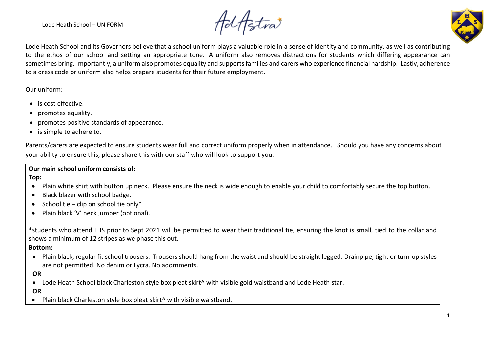Lode Heath School – UNIFORM

**Ad Aztra** 



Lode Heath School and its Governors believe that a school uniform plays a valuable role in a sense of identity and community, as well as contributing to the ethos of our school and setting an appropriate tone. A uniform also removes distractions for students which differing appearance can sometimes bring. Importantly, a uniform also promotes equality and supportsfamilies and carers who experience financial hardship. Lastly, adherence to a dress code or uniform also helps prepare students for their future employment.

Our uniform:

- is cost effective.
- promotes equality.
- promotes positive standards of appearance.
- is simple to adhere to.

Parents/carers are expected to ensure students wear full and correct uniform properly when in attendance. Should you have any concerns about your ability to ensure this, please share this with our staff who will look to support you.

**Our main school uniform consists of:**

**Top:**

- Plain white shirt with button up neck. Please ensure the neck is wide enough to enable your child to comfortably secure the top button.
- Black blazer with school badge.
- School tie clip on school tie only\*
- Plain black 'V' neck jumper (optional).

\*students who attend LHS prior to Sept 2021 will be permitted to wear their traditional tie, ensuring the knot is small, tied to the collar and shows a minimum of 12 stripes as we phase this out.

**Bottom:**

• Plain black, regular fit school trousers. Trousers should hang from the waist and should be straight legged. Drainpipe, tight or turn-up styles are not permitted. No denim or Lycra. No adornments.

**OR**

• Lode Heath School black Charleston style box pleat skirt<sup>^</sup> with visible gold waistband and Lode Heath star.

**OR**

• Plain black Charleston style box pleat skirt^ with visible waistband.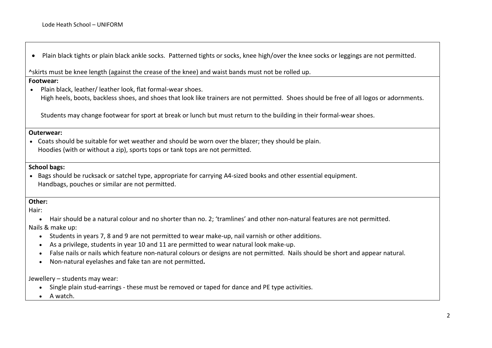• Plain black tights or plain black ankle socks. Patterned tights or socks, knee high/over the knee socks or leggings are not permitted.

^skirts must be knee length (against the crease of the knee) and waist bands must not be rolled up.

#### **Footwear:**

• Plain black, leather/ leather look, flat formal-wear shoes. High heels, boots, backless shoes, and shoes that look like trainers are not permitted. Shoes should be free of all logos or adornments.

Students may change footwear for sport at break or lunch but must return to the building in their formal-wear shoes.

#### **Outerwear:**

• Coats should be suitable for wet weather and should be worn over the blazer; they should be plain. Hoodies (with or without a zip), sports tops or tank tops are not permitted.

### **School bags:**

• Bags should be rucksack or satchel type, appropriate for carrying A4-sized books and other essential equipment. Handbags, pouches or similar are not permitted.

### **Other:**

Hair:

• Hair should be a natural colour and no shorter than no. 2; 'tramlines' and other non-natural features are not permitted.

Nails & make up:

- Students in years 7, 8 and 9 are not permitted to wear make-up, nail varnish or other additions.
- As a privilege, students in year 10 and 11 are permitted to wear natural look make-up.
- False nails or nails which feature non-natural colours or designs are not permitted. Nails should be short and appear natural.
- Non-natural eyelashes and fake tan are not permitted**.**

Jewellery – students may wear:

- Single plain stud-earrings these must be removed or taped for dance and PE type activities.
- A watch.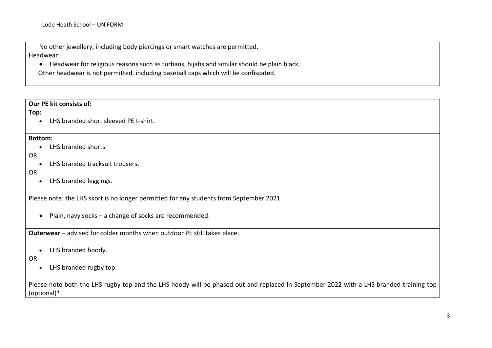No other jewellery, including body piercings or smart watches are permitted. Headwear:

• Headwear for religious reasons such as turbans, hijabs and similar should be plain black. Other headwear is not permitted, including baseball caps which will be confiscated.

# **Our PE kit consists of:**

### **Top:**

• LHS branded short sleeved PE t-shirt.

#### **Bottom:**

• LHS branded shorts.

# OR

• LHS branded tracksuit trousers.

# OR

• LHS branded leggings.

Please note: the LHS skort is no longer permitted for any students from September 2021.

• Plain, navy socks – a change of socks are recommended.

**Outerwear** – advised for colder months when outdoor PE still takes place.

• LHS branded hoody.

# OR

• LHS branded rugby top.

Please note both the LHS rugby top and the LHS hoody will be phased out and replaced in September 2022 with a LHS branded training top (optional)\*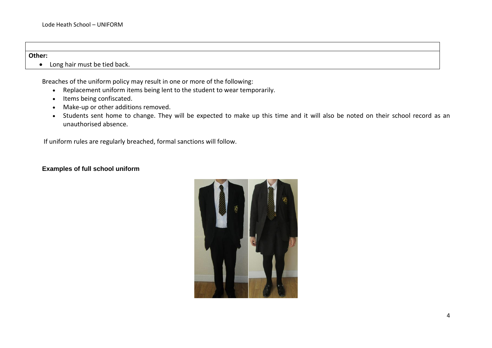#### **Other:**

• Long hair must be tied back.

Breaches of the uniform policy may result in one or more of the following:

- Replacement uniform items being lent to the student to wear temporarily.
- Items being confiscated.
- Make-up or other additions removed.
- Students sent home to change. They will be expected to make up this time and it will also be noted on their school record as an unauthorised absence.

If uniform rules are regularly breached, formal sanctions will follow.

# **Examples of full school uniform**